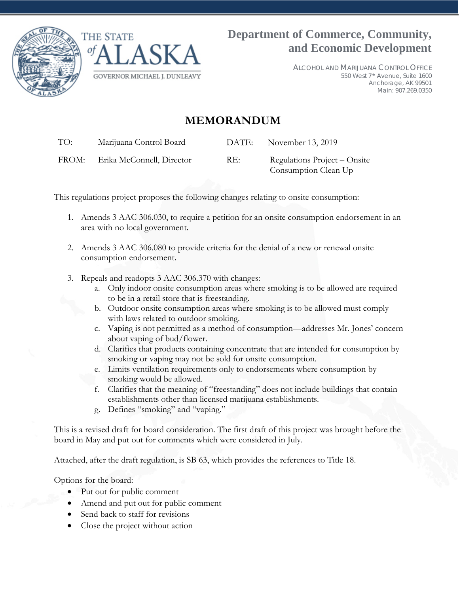



ALCOHOL AND MARIJUANA CONTROL OFFICE 550 West 7th Avenue, Suite 1600 Anchorage, AK 99501 Main: 907.269.0350

# **MEMORANDUM**

TO: Marijuana Control Board DATE: November 13, 2019

FROM: Erika McConnell, Director RE: Regulations Project – Onsite

Consumption Clean Up

This regulations project proposes the following changes relating to onsite consumption:

- 1. Amends 3 AAC 306.030, to require a petition for an onsite consumption endorsement in an area with no local government.
- 2. Amends 3 AAC 306.080 to provide criteria for the denial of a new or renewal onsite consumption endorsement.
- 3. Repeals and readopts 3 AAC 306.370 with changes:
	- a. Only indoor onsite consumption areas where smoking is to be allowed are required to be in a retail store that is freestanding.
	- b. Outdoor onsite consumption areas where smoking is to be allowed must comply with laws related to outdoor smoking.
	- c. Vaping is not permitted as a method of consumption—addresses Mr. Jones' concern about vaping of bud/flower.
	- d. Clarifies that products containing concentrate that are intended for consumption by smoking or vaping may not be sold for onsite consumption.
	- e. Limits ventilation requirements only to endorsements where consumption by smoking would be allowed.
	- f. Clarifies that the meaning of "freestanding" does not include buildings that contain establishments other than licensed marijuana establishments.
	- g. Defines "smoking" and "vaping."

This is a revised draft for board consideration. The first draft of this project was brought before the board in May and put out for comments which were considered in July.

Attached, after the draft regulation, is SB 63, which provides the references to Title 18.

Options for the board:

- Put out for public comment
- Amend and put out for public comment
- Send back to staff for revisions
- Close the project without action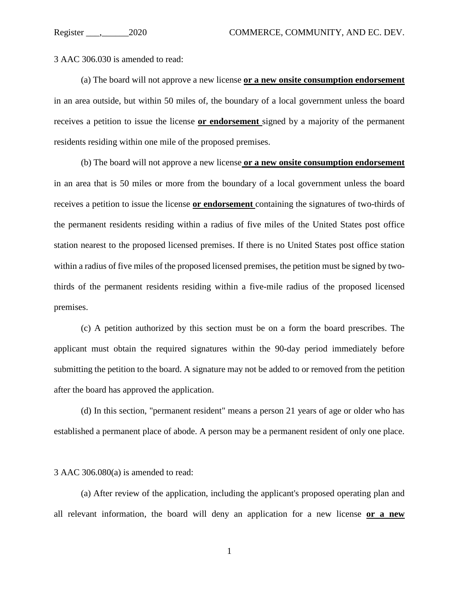3 AAC 306.030 is amended to read:

(a) The board will not approve a new license **or a new onsite consumption endorsement** in an area outside, but within 50 miles of, the boundary of a local government unless the board receives a petition to issue the license **or endorsement** signed by a majority of the permanent residents residing within one mile of the proposed premises.

(b) The board will not approve a new license **or a new onsite consumption endorsement** in an area that is 50 miles or more from the boundary of a local government unless the board receives a petition to issue the license **or endorsement** containing the signatures of two-thirds of the permanent residents residing within a radius of five miles of the United States post office station nearest to the proposed licensed premises. If there is no United States post office station within a radius of five miles of the proposed licensed premises, the petition must be signed by twothirds of the permanent residents residing within a five-mile radius of the proposed licensed premises.

(c) A petition authorized by this section must be on a form the board prescribes. The applicant must obtain the required signatures within the 90-day period immediately before submitting the petition to the board. A signature may not be added to or removed from the petition after the board has approved the application.

(d) In this section, "permanent resident" means a person 21 years of age or older who has established a permanent place of abode. A person may be a permanent resident of only one place.

3 AAC 306.080(a) is amended to read:

(a) After review of the application, including the applicant's proposed operating plan and all relevant information, the board will deny an application for a new license **or a new**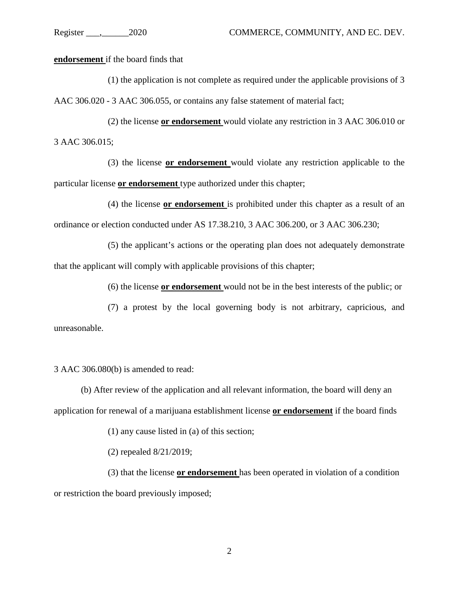**endorsement** if the board finds that

(1) the application is not complete as required under the applicable provisions of 3 AAC 306.020 - 3 AAC 306.055, or contains any false statement of material fact;

(2) the license **or endorsement** would violate any restriction in 3 AAC 306.010 or 3 AAC 306.015;

(3) the license **or endorsement** would violate any restriction applicable to the particular license **or endorsement** type authorized under this chapter;

(4) the license **or endorsement** is prohibited under this chapter as a result of an ordinance or election conducted under AS 17.38.210, 3 AAC 306.200, or 3 AAC 306.230;

(5) the applicant's actions or the operating plan does not adequately demonstrate that the applicant will comply with applicable provisions of this chapter;

(6) the license **or endorsement** would not be in the best interests of the public; or

(7) a protest by the local governing body is not arbitrary, capricious, and unreasonable.

3 AAC 306.080(b) is amended to read:

(b) After review of the application and all relevant information, the board will deny an application for renewal of a marijuana establishment license **or endorsement** if the board finds

(1) any cause listed in (a) of this section;

(2) repealed 8/21/2019;

(3) that the license **or endorsement** has been operated in violation of a condition or restriction the board previously imposed;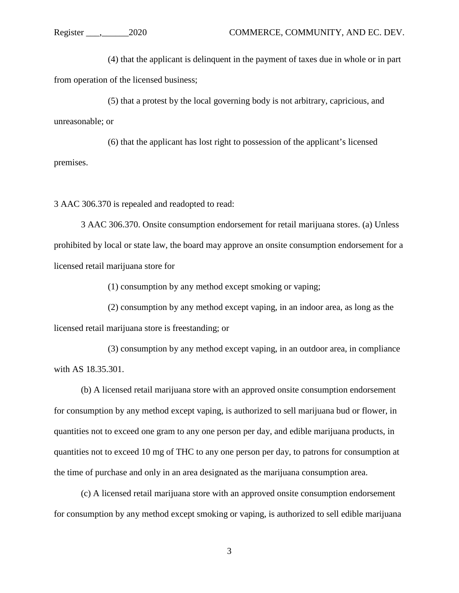(4) that the applicant is delinquent in the payment of taxes due in whole or in part from operation of the licensed business;

(5) that a protest by the local governing body is not arbitrary, capricious, and unreasonable; or

(6) that the applicant has lost right to possession of the applicant's licensed premises.

3 AAC 306.370 is repealed and readopted to read:

3 AAC 306.370. Onsite consumption endorsement for retail marijuana stores. (a) Unless prohibited by local or state law, the board may approve an onsite consumption endorsement for a licensed retail marijuana store for

(1) consumption by any method except smoking or vaping;

(2) consumption by any method except vaping, in an indoor area, as long as the licensed retail marijuana store is freestanding; or

(3) consumption by any method except vaping, in an outdoor area, in compliance with AS 18.35.301.

(b) A licensed retail marijuana store with an approved onsite consumption endorsement for consumption by any method except vaping, is authorized to sell marijuana bud or flower, in quantities not to exceed one gram to any one person per day, and edible marijuana products, in quantities not to exceed 10 mg of THC to any one person per day, to patrons for consumption at the time of purchase and only in an area designated as the marijuana consumption area.

(c) A licensed retail marijuana store with an approved onsite consumption endorsement for consumption by any method except smoking or vaping, is authorized to sell edible marijuana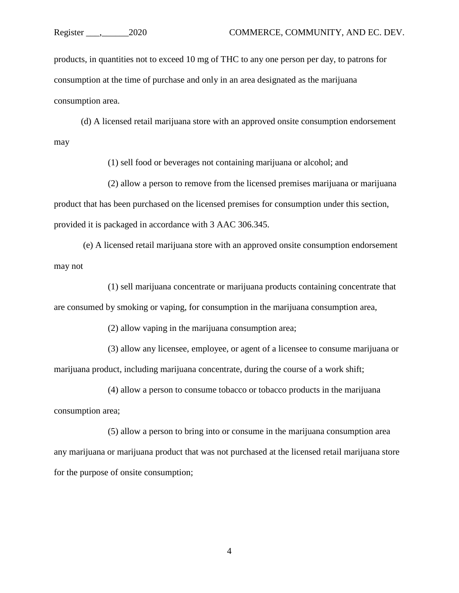products, in quantities not to exceed 10 mg of THC to any one person per day, to patrons for consumption at the time of purchase and only in an area designated as the marijuana consumption area.

(d) A licensed retail marijuana store with an approved onsite consumption endorsement may

(1) sell food or beverages not containing marijuana or alcohol; and

(2) allow a person to remove from the licensed premises marijuana or marijuana product that has been purchased on the licensed premises for consumption under this section, provided it is packaged in accordance with 3 AAC 306.345.

(e) A licensed retail marijuana store with an approved onsite consumption endorsement may not

(1) sell marijuana concentrate or marijuana products containing concentrate that are consumed by smoking or vaping, for consumption in the marijuana consumption area,

(2) allow vaping in the marijuana consumption area;

(3) allow any licensee, employee, or agent of a licensee to consume marijuana or marijuana product, including marijuana concentrate, during the course of a work shift;

(4) allow a person to consume tobacco or tobacco products in the marijuana consumption area;

(5) allow a person to bring into or consume in the marijuana consumption area any marijuana or marijuana product that was not purchased at the licensed retail marijuana store for the purpose of onsite consumption;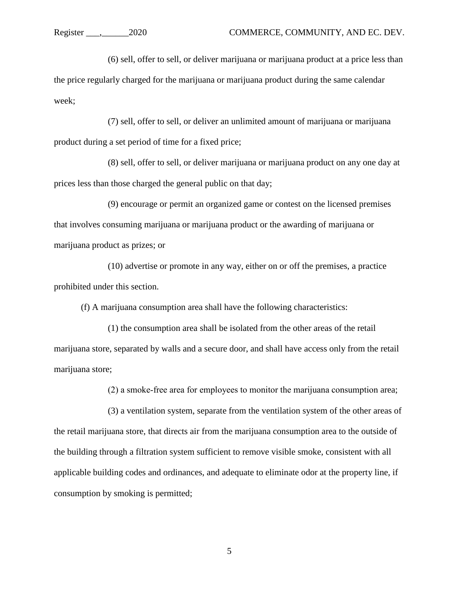(6) sell, offer to sell, or deliver marijuana or marijuana product at a price less than the price regularly charged for the marijuana or marijuana product during the same calendar week;

(7) sell, offer to sell, or deliver an unlimited amount of marijuana or marijuana product during a set period of time for a fixed price;

(8) sell, offer to sell, or deliver marijuana or marijuana product on any one day at prices less than those charged the general public on that day;

(9) encourage or permit an organized game or contest on the licensed premises that involves consuming marijuana or marijuana product or the awarding of marijuana or marijuana product as prizes; or

(10) advertise or promote in any way, either on or off the premises, a practice prohibited under this section.

(f) A marijuana consumption area shall have the following characteristics:

(1) the consumption area shall be isolated from the other areas of the retail marijuana store, separated by walls and a secure door, and shall have access only from the retail marijuana store;

(2) a smoke‐free area for employees to monitor the marijuana consumption area;

(3) a ventilation system, separate from the ventilation system of the other areas of the retail marijuana store, that directs air from the marijuana consumption area to the outside of the building through a filtration system sufficient to remove visible smoke, consistent with all applicable building codes and ordinances, and adequate to eliminate odor at the property line, if consumption by smoking is permitted;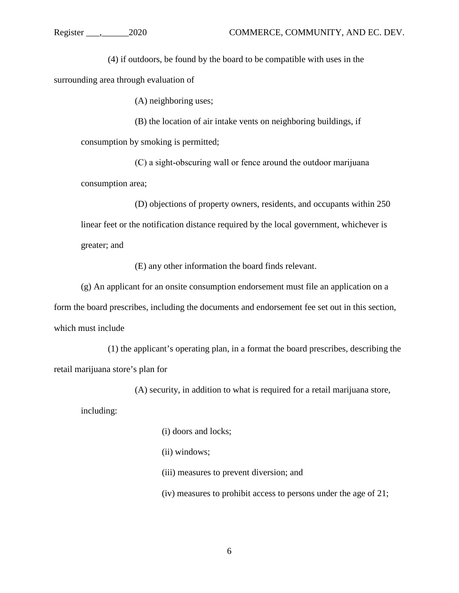(4) if outdoors, be found by the board to be compatible with uses in the

surrounding area through evaluation of

(A) neighboring uses;

(B) the location of air intake vents on neighboring buildings, if consumption by smoking is permitted;

(C) a sight‐obscuring wall or fence around the outdoor marijuana consumption area;

(D) objections of property owners, residents, and occupants within 250 linear feet or the notification distance required by the local government, whichever is greater; and

(E) any other information the board finds relevant.

(g) An applicant for an onsite consumption endorsement must file an application on a form the board prescribes, including the documents and endorsement fee set out in this section, which must include

(1) the applicant's operating plan, in a format the board prescribes, describing the retail marijuana store's plan for

(A) security, in addition to what is required for a retail marijuana store,

including:

(i) doors and locks;

(ii) windows;

(iii) measures to prevent diversion; and

(iv) measures to prohibit access to persons under the age of 21;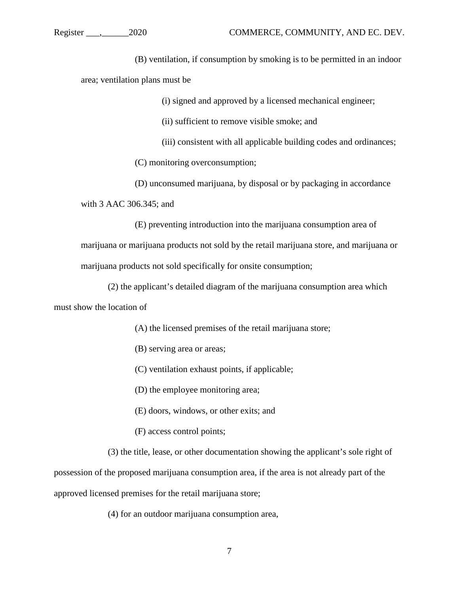(B) ventilation, if consumption by smoking is to be permitted in an indoor area; ventilation plans must be

(i) signed and approved by a licensed mechanical engineer;

(ii) sufficient to remove visible smoke; and

(iii) consistent with all applicable building codes and ordinances;

(C) monitoring overconsumption;

(D) unconsumed marijuana, by disposal or by packaging in accordance with 3 AAC 306.345; and

(E) preventing introduction into the marijuana consumption area of marijuana or marijuana products not sold by the retail marijuana store, and marijuana or marijuana products not sold specifically for onsite consumption;

(2) the applicant's detailed diagram of the marijuana consumption area which must show the location of

- (A) the licensed premises of the retail marijuana store;
- (B) serving area or areas;
- (C) ventilation exhaust points, if applicable;
- (D) the employee monitoring area;
- (E) doors, windows, or other exits; and
- (F) access control points;
- (3) the title, lease, or other documentation showing the applicant's sole right of

possession of the proposed marijuana consumption area, if the area is not already part of the approved licensed premises for the retail marijuana store;

(4) for an outdoor marijuana consumption area,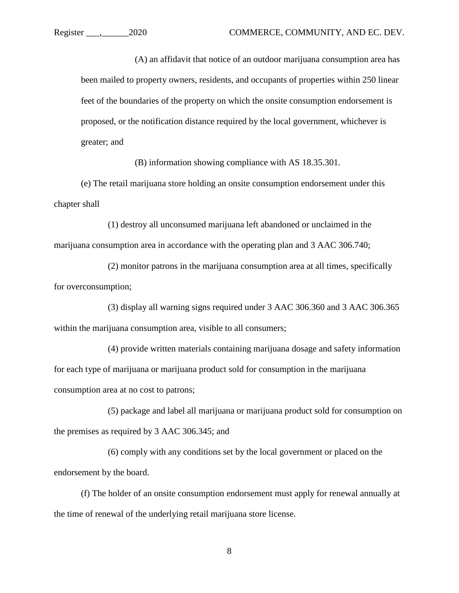(A) an affidavit that notice of an outdoor marijuana consumption area has been mailed to property owners, residents, and occupants of properties within 250 linear feet of the boundaries of the property on which the onsite consumption endorsement is proposed, or the notification distance required by the local government, whichever is greater; and

(B) information showing compliance with AS 18.35.301.

(e) The retail marijuana store holding an onsite consumption endorsement under this chapter shall

(1) destroy all unconsumed marijuana left abandoned or unclaimed in the marijuana consumption area in accordance with the operating plan and 3 AAC 306.740;

(2) monitor patrons in the marijuana consumption area at all times, specifically for overconsumption;

(3) display all warning signs required under 3 AAC 306.360 and 3 AAC 306.365 within the marijuana consumption area, visible to all consumers;

(4) provide written materials containing marijuana dosage and safety information for each type of marijuana or marijuana product sold for consumption in the marijuana consumption area at no cost to patrons;

(5) package and label all marijuana or marijuana product sold for consumption on the premises as required by 3 AAC 306.345; and

(6) comply with any conditions set by the local government or placed on the endorsement by the board.

(f) The holder of an onsite consumption endorsement must apply for renewal annually at the time of renewal of the underlying retail marijuana store license.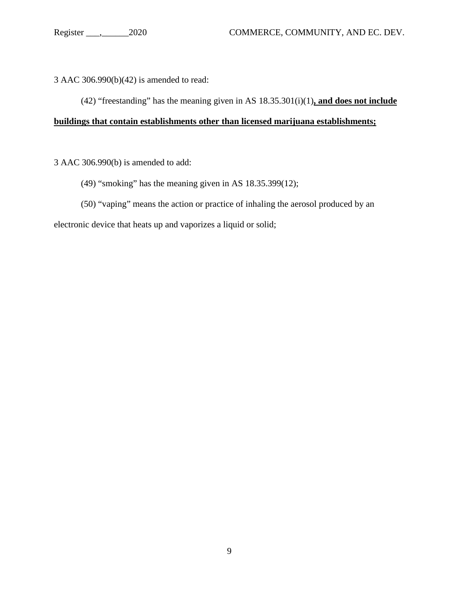3 AAC 306.990(b)(42) is amended to read:

(42) "freestanding" has the meaning given in AS 18.35.301(i)(1)**, and does not include** 

## **buildings that contain establishments other than licensed marijuana establishments;**

3 AAC 306.990(b) is amended to add:

- (49) "smoking" has the meaning given in AS 18.35.399(12);
- (50) "vaping" means the action or practice of inhaling the aerosol produced by an

electronic device that heats up and vaporizes a liquid or solid;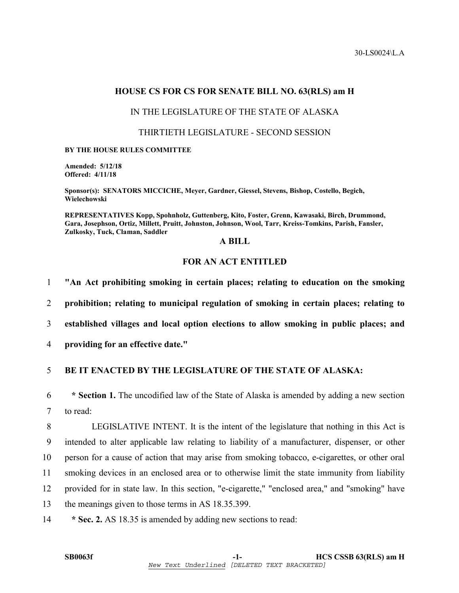## **HOUSE CS FOR CS FOR SENATE BILL NO. 63(RLS) am H**

## IN THE LEGISLATURE OF THE STATE OF ALASKA

## THIRTIETH LEGISLATURE - SECOND SESSION

#### **BY THE HOUSE RULES COMMITTEE**

**Amended: 5/12/18 Offered: 4/11/18** 

**Sponsor(s): SENATORS MICCICHE, Meyer, Gardner, Giessel, Stevens, Bishop, Costello, Begich, Wielechowski** 

**REPRESENTATIVES Kopp, Spohnholz, Guttenberg, Kito, Foster, Grenn, Kawasaki, Birch, Drummond, Gara, Josephson, Ortiz, Millett, Pruitt, Johnston, Johnson, Wool, Tarr, Kreiss-Tomkins, Parish, Fansler, Zulkosky, Tuck, Claman, Saddler** 

## **A BILL**

## **FOR AN ACT ENTITLED**

1 **"An Act prohibiting smoking in certain places; relating to education on the smoking** 

2 **prohibition; relating to municipal regulation of smoking in certain places; relating to** 

3 **established villages and local option elections to allow smoking in public places; and** 

4 **providing for an effective date."** 

## 5 **BE IT ENACTED BY THE LEGISLATURE OF THE STATE OF ALASKA:**

6 **\* Section 1.** The uncodified law of the State of Alaska is amended by adding a new section 7 to read:

8 LEGISLATIVE INTENT. It is the intent of the legislature that nothing in this Act is 9 intended to alter applicable law relating to liability of a manufacturer, dispenser, or other 10 person for a cause of action that may arise from smoking tobacco, e-cigarettes, or other oral 11 smoking devices in an enclosed area or to otherwise limit the state immunity from liability 12 provided for in state law. In this section, "e-cigarette," "enclosed area," and "smoking" have 13 the meanings given to those terms in AS 18.35.399.

14 **\* Sec. 2.** AS 18.35 is amended by adding new sections to read: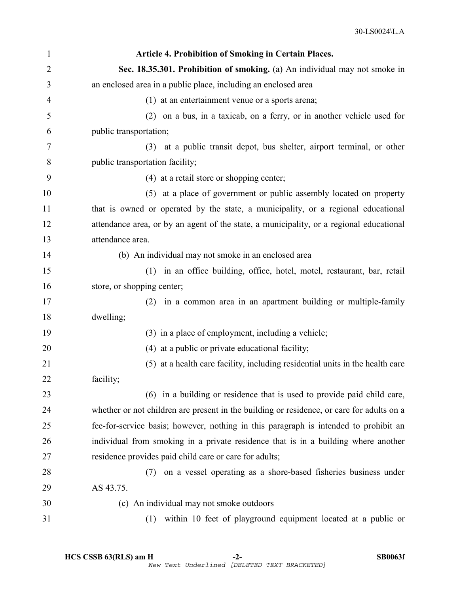| 1  | <b>Article 4. Prohibition of Smoking in Certain Places.</b>                               |
|----|-------------------------------------------------------------------------------------------|
| 2  | Sec. 18.35.301. Prohibition of smoking. (a) An individual may not smoke in                |
| 3  | an enclosed area in a public place, including an enclosed area                            |
| 4  | (1) at an entertainment venue or a sports arena;                                          |
| 5  | (2) on a bus, in a taxicab, on a ferry, or in another vehicle used for                    |
| 6  | public transportation;                                                                    |
| 7  | (3) at a public transit depot, bus shelter, airport terminal, or other                    |
| 8  | public transportation facility;                                                           |
| 9  | (4) at a retail store or shopping center;                                                 |
| 10 | (5) at a place of government or public assembly located on property                       |
| 11 | that is owned or operated by the state, a municipality, or a regional educational         |
| 12 | attendance area, or by an agent of the state, a municipality, or a regional educational   |
| 13 | attendance area.                                                                          |
| 14 | (b) An individual may not smoke in an enclosed area                                       |
| 15 | (1)<br>in an office building, office, hotel, motel, restaurant, bar, retail               |
| 16 | store, or shopping center;                                                                |
| 17 | in a common area in an apartment building or multiple-family<br>(2)                       |
| 18 | dwelling;                                                                                 |
| 19 | (3) in a place of employment, including a vehicle;                                        |
| 20 | (4) at a public or private educational facility;                                          |
| 21 | (5) at a health care facility, including residential units in the health care             |
| 22 | facility;                                                                                 |
| 23 | (6) in a building or residence that is used to provide paid child care,                   |
| 24 | whether or not children are present in the building or residence, or care for adults on a |
| 25 | fee-for-service basis; however, nothing in this paragraph is intended to prohibit an      |
| 26 | individual from smoking in a private residence that is in a building where another        |
| 27 | residence provides paid child care or care for adults;                                    |
| 28 | on a vessel operating as a shore-based fisheries business under<br>(7)                    |
| 29 | AS 43.75.                                                                                 |
| 30 | (c) An individual may not smoke outdoors                                                  |
| 31 | within 10 feet of playground equipment located at a public or<br>(1)                      |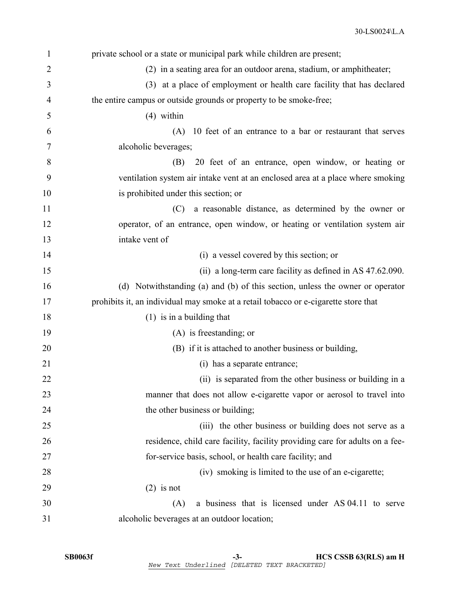| $\mathbf{1}$   | private school or a state or municipal park while children are present;             |
|----------------|-------------------------------------------------------------------------------------|
| $\overline{2}$ | (2) in a seating area for an outdoor arena, stadium, or amphitheater;               |
| 3              | (3) at a place of employment or health care facility that has declared              |
| $\overline{4}$ | the entire campus or outside grounds or property to be smoke-free;                  |
| 5              | $(4)$ within                                                                        |
| 6              | (A) 10 feet of an entrance to a bar or restaurant that serves                       |
| 7              | alcoholic beverages;                                                                |
| 8              | 20 feet of an entrance, open window, or heating or<br>(B)                           |
| 9              | ventilation system air intake vent at an enclosed area at a place where smoking     |
| 10             | is prohibited under this section; or                                                |
| 11             | a reasonable distance, as determined by the owner or<br>(C)                         |
| 12             | operator, of an entrance, open window, or heating or ventilation system air         |
| 13             | intake vent of                                                                      |
| 14             | (i) a vessel covered by this section; or                                            |
| 15             | (ii) a long-term care facility as defined in AS 47.62.090.                          |
| 16             | (d) Notwithstanding (a) and (b) of this section, unless the owner or operator       |
| 17             | prohibits it, an individual may smoke at a retail tobacco or e-cigarette store that |
| 18             | $(1)$ is in a building that                                                         |
| 19             | (A) is freestanding; or                                                             |
| 20             | (B) if it is attached to another business or building,                              |
| 21             | (i) has a separate entrance;                                                        |
| 22             | (ii) is separated from the other business or building in a                          |
| 23             | manner that does not allow e-cigarette vapor or aerosol to travel into              |
| 24             | the other business or building;                                                     |
| 25             | (iii) the other business or building does not serve as a                            |
| 26             | residence, child care facility, facility providing care for adults on a fee-        |
| 27             | for-service basis, school, or health care facility; and                             |
| 28             | (iv) smoking is limited to the use of an e-cigarette;                               |
| 29             | $(2)$ is not                                                                        |
| 30             | a business that is licensed under AS 04.11 to serve<br>(A)                          |
| 31             | alcoholic beverages at an outdoor location;                                         |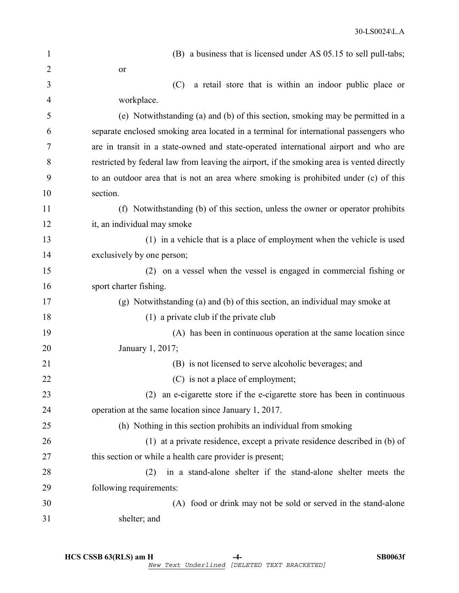| $\mathbf{1}$   | (B) a business that is licensed under AS 05.15 to sell pull-tabs;                          |
|----------------|--------------------------------------------------------------------------------------------|
| $\overline{2}$ | or                                                                                         |
| 3              | a retail store that is within an indoor public place or<br>(C)                             |
| 4              | workplace.                                                                                 |
| 5              | (e) Notwithstanding (a) and (b) of this section, smoking may be permitted in a             |
| 6              | separate enclosed smoking area located in a terminal for international passengers who      |
| 7              | are in transit in a state-owned and state-operated international airport and who are       |
| 8              | restricted by federal law from leaving the airport, if the smoking area is vented directly |
| 9              | to an outdoor area that is not an area where smoking is prohibited under (c) of this       |
| 10             | section.                                                                                   |
| 11             | (f) Notwithstanding (b) of this section, unless the owner or operator prohibits            |
| 12             | it, an individual may smoke                                                                |
| 13             | (1) in a vehicle that is a place of employment when the vehicle is used                    |
| 14             | exclusively by one person;                                                                 |
| 15             | (2) on a vessel when the vessel is engaged in commercial fishing or                        |
| 16             | sport charter fishing.                                                                     |
| 17             | (g) Notwithstanding (a) and (b) of this section, an individual may smoke at                |
| 18             | $(1)$ a private club if the private club                                                   |
| 19             | (A) has been in continuous operation at the same location since                            |
| 20             | January 1, 2017;                                                                           |
| 21             | (B) is not licensed to serve alcoholic beverages; and                                      |
| 22             | (C) is not a place of employment;                                                          |
| 23             | an e-cigarette store if the e-cigarette store has been in continuous<br>(2)                |
| 24             | operation at the same location since January 1, 2017.                                      |
| 25             | (h) Nothing in this section prohibits an individual from smoking                           |
| 26             | (1) at a private residence, except a private residence described in (b) of                 |
| 27             | this section or while a health care provider is present;                                   |
| 28             | in a stand-alone shelter if the stand-alone shelter meets the<br>(2)                       |
| 29             | following requirements:                                                                    |
| 30             | (A) food or drink may not be sold or served in the stand-alone                             |
| 31             | shelter; and                                                                               |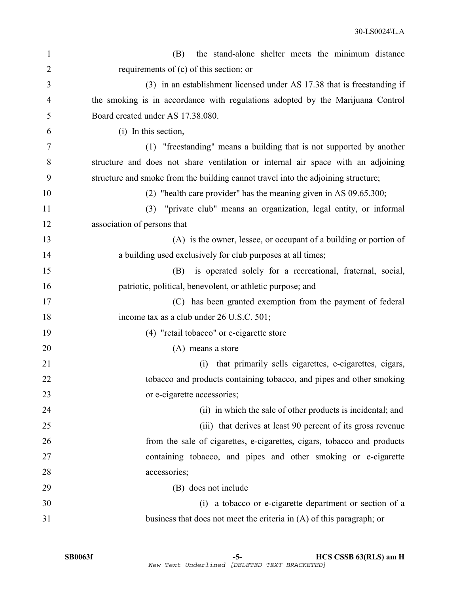| $\mathbf{1}$   | the stand-alone shelter meets the minimum distance<br>(B)                         |
|----------------|-----------------------------------------------------------------------------------|
| $\overline{2}$ | requirements of $(c)$ of this section; or                                         |
| 3              | (3) in an establishment licensed under AS 17.38 that is freestanding if           |
| 4              | the smoking is in accordance with regulations adopted by the Marijuana Control    |
| 5              | Board created under AS 17.38.080.                                                 |
| 6              | (i) In this section,                                                              |
| 7              | (1) "freestanding" means a building that is not supported by another              |
| 8              | structure and does not share ventilation or internal air space with an adjoining  |
| 9              | structure and smoke from the building cannot travel into the adjoining structure; |
| 10             | (2) "health care provider" has the meaning given in AS $09.65.300$ ;              |
| 11             | "private club" means an organization, legal entity, or informal<br>(3)            |
| 12             | association of persons that                                                       |
| 13             | (A) is the owner, lessee, or occupant of a building or portion of                 |
| 14             | a building used exclusively for club purposes at all times;                       |
| 15             | is operated solely for a recreational, fraternal, social,<br>(B)                  |
| 16             | patriotic, political, benevolent, or athletic purpose; and                        |
| 17             | (C) has been granted exemption from the payment of federal                        |
| 18             | income tax as a club under 26 U.S.C. 501;                                         |
| 19             | (4) "retail tobacco" or e-cigarette store                                         |
| 20             | (A) means a store                                                                 |
| 21             | that primarily sells cigarettes, e-cigarettes, cigars,<br>(i)                     |
| 22             | tobacco and products containing tobacco, and pipes and other smoking              |
| 23             | or e-cigarette accessories;                                                       |
| 24             | (ii) in which the sale of other products is incidental; and                       |
| 25             | (iii) that derives at least 90 percent of its gross revenue                       |
| 26             | from the sale of cigarettes, e-cigarettes, cigars, tobacco and products           |
| 27             | containing tobacco, and pipes and other smoking or e-cigarette                    |
| 28             | accessories;                                                                      |
| 29             | (B) does not include                                                              |
| 30             | (i) a tobacco or e-cigarette department or section of a                           |
| 31             | business that does not meet the criteria in (A) of this paragraph; or             |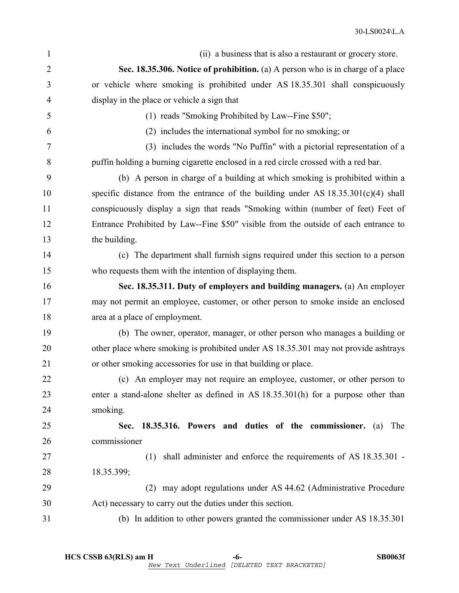| $\mathbf{1}$   | (ii) a business that is also a restaurant or grocery store.                          |
|----------------|--------------------------------------------------------------------------------------|
| 2              | Sec. 18.35.306. Notice of prohibition. (a) A person who is in charge of a place      |
| 3              | or vehicle where smoking is prohibited under AS 18.35.301 shall conspicuously        |
| 4              | display in the place or vehicle a sign that                                          |
| 5              | (1) reads "Smoking Prohibited by Law--Fine \$50";                                    |
| 6              | (2) includes the international symbol for no smoking; or                             |
| $\overline{7}$ | (3) includes the words "No Puffin" with a pictorial representation of a              |
| 8              | puffin holding a burning cigarette enclosed in a red circle crossed with a red bar.  |
| 9              | (b) A person in charge of a building at which smoking is prohibited within a         |
| 10             | specific distance from the entrance of the building under AS $18.35.301(c)(4)$ shall |
| 11             | conspicuously display a sign that reads "Smoking within (number of feet) Feet of     |
| 12             | Entrance Prohibited by Law--Fine \$50" visible from the outside of each entrance to  |
| 13             | the building.                                                                        |
| 14             | (c) The department shall furnish signs required under this section to a person       |
| 15             | who requests them with the intention of displaying them.                             |
| 16             | Sec. 18.35.311. Duty of employers and building managers. (a) An employer             |
| 17             | may not permit an employee, customer, or other person to smoke inside an enclosed    |
| 18             | area at a place of employment.                                                       |
| 19             | (b) The owner, operator, manager, or other person who manages a building or          |
| 20             | other place where smoking is prohibited under AS 18.35.301 may not provide ashtrays  |
| 21             | or other smoking accessories for use in that building or place.                      |
| 22             | (c) An employer may not require an employee, customer, or other person to            |
| 23             | enter a stand-alone shelter as defined in AS 18.35.301(h) for a purpose other than   |
| 24             | smoking.                                                                             |
| 25             | Sec. 18.35.316. Powers and duties of the commissioner. (a)<br>The                    |
| 26             | commissioner                                                                         |
| 27             | (1) shall administer and enforce the requirements of AS 18.35.301 -                  |
| 28             | 18.35.399;                                                                           |
| 29             | may adopt regulations under AS 44.62 (Administrative Procedure<br>(2)                |
| 30             | Act) necessary to carry out the duties under this section.                           |
| 31             | (b) In addition to other powers granted the commissioner under AS 18.35.301          |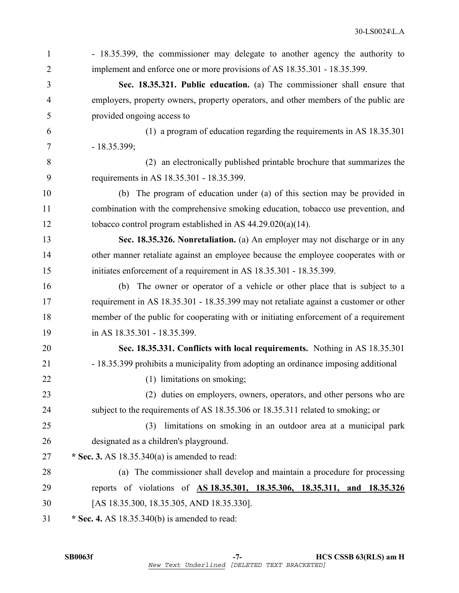| $\mathbf{1}$   | - 18.35.399, the commissioner may delegate to another agency the authority to         |
|----------------|---------------------------------------------------------------------------------------|
| $\overline{2}$ | implement and enforce one or more provisions of AS 18.35.301 - 18.35.399.             |
| 3              | Sec. 18.35.321. Public education. (a) The commissioner shall ensure that              |
| $\overline{4}$ | employers, property owners, property operators, and other members of the public are   |
| 5              | provided ongoing access to                                                            |
| 6              | (1) a program of education regarding the requirements in AS 18.35.301                 |
| 7              | $-18.35.399;$                                                                         |
| 8              | (2) an electronically published printable brochure that summarizes the                |
| 9              | requirements in AS 18.35.301 - 18.35.399.                                             |
| 10             | The program of education under (a) of this section may be provided in<br>(b)          |
| 11             | combination with the comprehensive smoking education, tobacco use prevention, and     |
| 12             | tobacco control program established in AS $44.29.020(a)(14)$ .                        |
| 13             | Sec. 18.35.326. Nonretaliation. (a) An employer may not discharge or in any           |
| 14             | other manner retaliate against an employee because the employee cooperates with or    |
| 15             | initiates enforcement of a requirement in AS 18.35.301 - 18.35.399.                   |
| 16             | The owner or operator of a vehicle or other place that is subject to a<br>(b)         |
| 17             | requirement in AS 18.35.301 - 18.35.399 may not retaliate against a customer or other |
| 18             | member of the public for cooperating with or initiating enforcement of a requirement  |
| 19             | in AS 18.35.301 - 18.35.399.                                                          |
| 20             | Sec. 18.35.331. Conflicts with local requirements. Nothing in AS 18.35.301            |
| 21             | - 18.35.399 prohibits a municipality from adopting an ordinance imposing additional   |
| 22             | (1) limitations on smoking;                                                           |
| 23             | (2) duties on employers, owners, operators, and other persons who are                 |
| 24             | subject to the requirements of AS 18.35.306 or 18.35.311 related to smoking; or       |
| 25             | limitations on smoking in an outdoor area at a municipal park<br>(3)                  |
| 26             | designated as a children's playground.                                                |
| 27             | * Sec. 3. AS $18.35.340(a)$ is amended to read:                                       |
| 28             | (a) The commissioner shall develop and maintain a procedure for processing            |
| 29             | reports of violations of AS 18.35.301, 18.35.306, 18.35.311, and 18.35.326            |
| 30             | [AS 18.35.300, 18.35.305, AND 18.35.330].                                             |
| 31             | * Sec. 4. AS $18.35.340(b)$ is amended to read:                                       |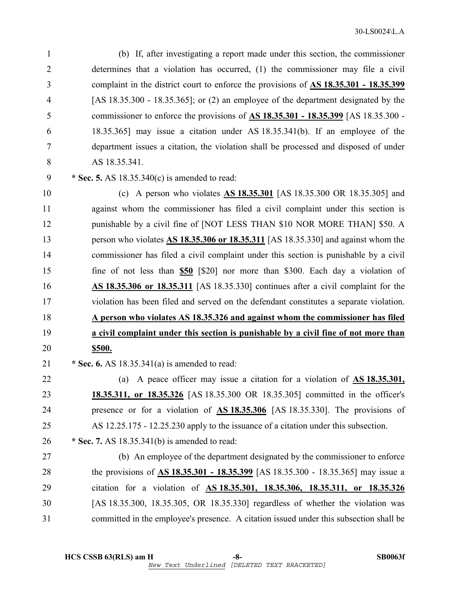1 (b) If, after investigating a report made under this section, the commissioner 2 determines that a violation has occurred, (1) the commissioner may file a civil 3 complaint in the district court to enforce the provisions of **AS 18.35.301 - 18.35.399** 4 [AS 18.35.300 - 18.35.365]; or (2) an employee of the department designated by the 5 commissioner to enforce the provisions of **AS 18.35.301 - 18.35.399** [AS 18.35.300 - 6 18.35.365] may issue a citation under AS 18.35.341(b). If an employee of the 7 department issues a citation, the violation shall be processed and disposed of under 8 AS 18.35.341.

9 **\* Sec. 5.** AS 18.35.340(c) is amended to read:

10 (c) A person who violates **AS 18.35.301** [AS 18.35.300 OR 18.35.305] and 11 against whom the commissioner has filed a civil complaint under this section is 12 punishable by a civil fine of [NOT LESS THAN \$10 NOR MORE THAN] \$50. A 13 person who violates **AS 18.35.306 or 18.35.311** [AS 18.35.330] and against whom the 14 commissioner has filed a civil complaint under this section is punishable by a civil 15 fine of not less than **\$50** [\$20] nor more than \$300. Each day a violation of 16 **AS 18.35.306 or 18.35.311** [AS 18.35.330] continues after a civil complaint for the 17 violation has been filed and served on the defendant constitutes a separate violation. 18 **A person who violates AS 18.35.326 and against whom the commissioner has filed**  19 **a civil complaint under this section is punishable by a civil fine of not more than**  20 **\$500.** 

21 **\* Sec. 6.** AS 18.35.341(a) is amended to read:

22 (a) A peace officer may issue a citation for a violation of **AS 18.35.301,**  23 **18.35.311, or 18.35.326** [AS 18.35.300 OR 18.35.305] committed in the officer's 24 presence or for a violation of **AS 18.35.306** [AS 18.35.330]. The provisions of 25 AS 12.25.175 - 12.25.230 apply to the issuance of a citation under this subsection.

26 **\* Sec. 7.** AS 18.35.341(b) is amended to read:

27 (b) An employee of the department designated by the commissioner to enforce 28 the provisions of **AS 18.35.301 - 18.35.399** [AS 18.35.300 - 18.35.365] may issue a 29 citation for a violation of **AS 18.35.301, 18.35.306, 18.35.311, or 18.35.326** 30 [AS 18.35.300, 18.35.305, OR 18.35.330] regardless of whether the violation was 31 committed in the employee's presence. A citation issued under this subsection shall be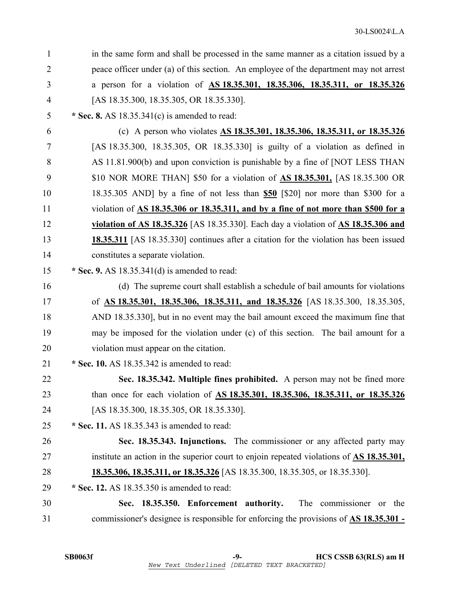| 1              | in the same form and shall be processed in the same manner as a citation issued by a                  |
|----------------|-------------------------------------------------------------------------------------------------------|
| $\overline{2}$ | peace officer under (a) of this section. An employee of the department may not arrest                 |
| 3              | a person for a violation of AS 18.35.301, 18.35.306, 18.35.311, or 18.35.326                          |
| 4              | [AS 18.35.300, 18.35.305, OR 18.35.330].                                                              |
| 5              | * Sec. 8. AS $18.35.341(c)$ is amended to read:                                                       |
| 6              | (c) A person who violates AS 18.35.301, 18.35.306, 18.35.311, or 18.35.326                            |
| 7              | [AS 18.35.300, 18.35.305, OR 18.35.330] is guilty of a violation as defined in                        |
| 8              | AS 11.81.900(b) and upon conviction is punishable by a fine of [NOT LESS THAN                         |
| 9              | \$10 NOR MORE THAN \$50 for a violation of <b>AS 18.35.301</b> , [AS 18.35.300 OR                     |
| 10             | 18.35.305 AND] by a fine of not less than \$50 [\$20] nor more than \$300 for a                       |
| 11             | violation of AS 18.35.306 or 18.35.311, and by a fine of not more than \$500 for a                    |
| 12             | violation of AS 18.35.326 [AS 18.35.330]. Each day a violation of $\overline{AS}$ 18.35.306 and       |
| 13             | <b>18.35.311</b> [AS 18.35.330] continues after a citation for the violation has been issued          |
| 14             | constitutes a separate violation.                                                                     |
| 15             | * Sec. 9. AS $18.35.341(d)$ is amended to read:                                                       |
| 16             | (d) The supreme court shall establish a schedule of bail amounts for violations                       |
| 17             | of <u>AS 18.35.301, 18.35.306, 18.35.311, and 18.35.326</u> [AS 18.35.300, 18.35.305,                 |
| 18             | AND 18.35.330], but in no event may the bail amount exceed the maximum fine that                      |
| 19             | may be imposed for the violation under (c) of this section. The bail amount for a                     |
| 20             | violation must appear on the citation.                                                                |
| 21             | * Sec. 10. AS 18.35.342 is amended to read:                                                           |
| 22             | Sec. 18.35.342. Multiple fines prohibited. A person may not be fined more                             |
| 23             | than once for each violation of AS 18.35.301, 18.35.306, 18.35.311, or 18.35.326                      |
| 24             | [AS 18.35.300, 18.35.305, OR 18.35.330].                                                              |
| 25             | $*$ Sec. 11. AS 18.35.343 is amended to read:                                                         |
| 26             | Sec. 18.35.343. Injunctions. The commissioner or any affected party may                               |
| 27             | institute an action in the superior court to enjoin repeated violations of $\overline{AS}$ 18.35.301, |
| 28             | <b>18.35.306, 18.35.311, or 18.35.326</b> [AS 18.35.300, 18.35.305, or 18.35.330].                    |
| 29             | * Sec. 12. AS 18.35.350 is amended to read:                                                           |
| 30             | Sec. 18.35.350. Enforcement authority.<br>The commissioner or the                                     |
| 31             | commissioner's designee is responsible for enforcing the provisions of <b>AS 18.35.301</b> -          |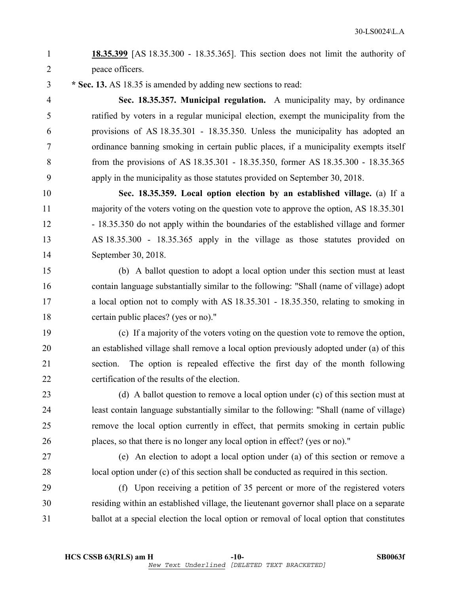## 1 **18.35.399** [AS 18.35.300 - 18.35.365]. This section does not limit the authority of 2 peace officers.

3 **\* Sec. 13.** AS 18.35 is amended by adding new sections to read:

4 **Sec. 18.35.357. Municipal regulation.** A municipality may, by ordinance 5 ratified by voters in a regular municipal election, exempt the municipality from the 6 provisions of AS 18.35.301 - 18.35.350. Unless the municipality has adopted an 7 ordinance banning smoking in certain public places, if a municipality exempts itself 8 from the provisions of AS 18.35.301 - 18.35.350, former AS 18.35.300 - 18.35.365 9 apply in the municipality as those statutes provided on September 30, 2018.

10 **Sec. 18.35.359. Local option election by an established village.** (a) If a 11 majority of the voters voting on the question vote to approve the option, AS 18.35.301 12 - 18.35.350 do not apply within the boundaries of the established village and former 13 AS 18.35.300 - 18.35.365 apply in the village as those statutes provided on 14 September 30, 2018.

15 (b) A ballot question to adopt a local option under this section must at least 16 contain language substantially similar to the following: "Shall (name of village) adopt 17 a local option not to comply with AS 18.35.301 - 18.35.350, relating to smoking in 18 certain public places? (yes or no)."

19 (c) If a majority of the voters voting on the question vote to remove the option, 20 an established village shall remove a local option previously adopted under (a) of this 21 section. The option is repealed effective the first day of the month following 22 certification of the results of the election.

23 (d) A ballot question to remove a local option under (c) of this section must at 24 least contain language substantially similar to the following: "Shall (name of village) 25 remove the local option currently in effect, that permits smoking in certain public 26 places, so that there is no longer any local option in effect? (yes or no)."

27 (e) An election to adopt a local option under (a) of this section or remove a 28 local option under (c) of this section shall be conducted as required in this section.

29 (f) Upon receiving a petition of 35 percent or more of the registered voters 30 residing within an established village, the lieutenant governor shall place on a separate 31 ballot at a special election the local option or removal of local option that constitutes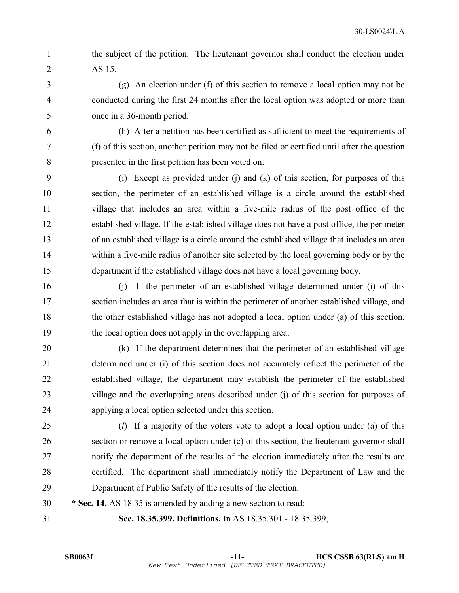1 the subject of the petition. The lieutenant governor shall conduct the election under 2 AS 15.

3 (g) An election under (f) of this section to remove a local option may not be 4 conducted during the first 24 months after the local option was adopted or more than 5 once in a 36-month period.

6 (h) After a petition has been certified as sufficient to meet the requirements of 7 (f) of this section, another petition may not be filed or certified until after the question 8 presented in the first petition has been voted on.

9 (i) Except as provided under (j) and (k) of this section, for purposes of this 10 section, the perimeter of an established village is a circle around the established 11 village that includes an area within a five-mile radius of the post office of the 12 established village. If the established village does not have a post office, the perimeter 13 of an established village is a circle around the established village that includes an area 14 within a five-mile radius of another site selected by the local governing body or by the 15 department if the established village does not have a local governing body.

16 (j) If the perimeter of an established village determined under (i) of this 17 section includes an area that is within the perimeter of another established village, and 18 the other established village has not adopted a local option under (a) of this section, 19 the local option does not apply in the overlapping area.

20 (k) If the department determines that the perimeter of an established village 21 determined under (i) of this section does not accurately reflect the perimeter of the 22 established village, the department may establish the perimeter of the established 23 village and the overlapping areas described under (j) of this section for purposes of 24 applying a local option selected under this section.

25 (*l*) If a majority of the voters vote to adopt a local option under (a) of this 26 section or remove a local option under (c) of this section, the lieutenant governor shall 27 notify the department of the results of the election immediately after the results are 28 certified. The department shall immediately notify the Department of Law and the 29 Department of Public Safety of the results of the election.

30 **\* Sec. 14.** AS 18.35 is amended by adding a new section to read:

31 **Sec. 18.35.399. Definitions.** In AS 18.35.301 - 18.35.399,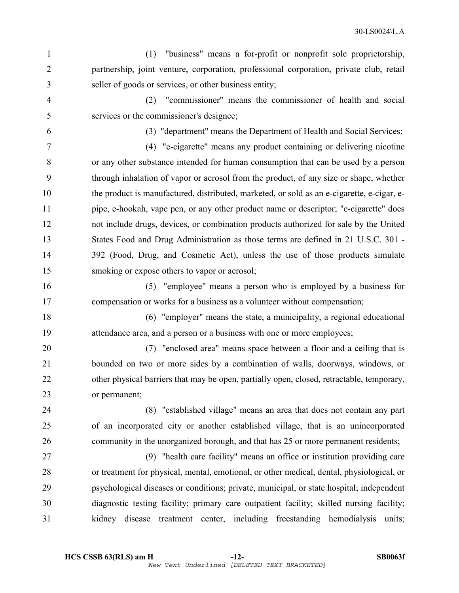1 (1) "business" means a for-profit or nonprofit sole proprietorship, 2 partnership, joint venture, corporation, professional corporation, private club, retail 3 seller of goods or services, or other business entity;

4 (2) "commissioner" means the commissioner of health and social 5 services or the commissioner's designee;

6 (3) "department" means the Department of Health and Social Services;

7 (4) "e-cigarette" means any product containing or delivering nicotine 8 or any other substance intended for human consumption that can be used by a person 9 through inhalation of vapor or aerosol from the product, of any size or shape, whether 10 the product is manufactured, distributed, marketed, or sold as an e-cigarette, e-cigar, e-11 pipe, e-hookah, vape pen, or any other product name or descriptor; "e-cigarette" does 12 not include drugs, devices, or combination products authorized for sale by the United 13 States Food and Drug Administration as those terms are defined in 21 U.S.C. 301 - 14 392 (Food, Drug, and Cosmetic Act), unless the use of those products simulate 15 smoking or expose others to vapor or aerosol;

16 (5) "employee" means a person who is employed by a business for 17 compensation or works for a business as a volunteer without compensation;

18 (6) "employer" means the state, a municipality, a regional educational 19 attendance area, and a person or a business with one or more employees;

20 (7) "enclosed area" means space between a floor and a ceiling that is 21 bounded on two or more sides by a combination of walls, doorways, windows, or 22 other physical barriers that may be open, partially open, closed, retractable, temporary, 23 or permanent;

24 (8) "established village" means an area that does not contain any part 25 of an incorporated city or another established village, that is an unincorporated 26 community in the unorganized borough, and that has 25 or more permanent residents;

27 (9) "health care facility" means an office or institution providing care 28 or treatment for physical, mental, emotional, or other medical, dental, physiological, or 29 psychological diseases or conditions; private, municipal, or state hospital; independent 30 diagnostic testing facility; primary care outpatient facility; skilled nursing facility; 31 kidney disease treatment center, including freestanding hemodialysis units;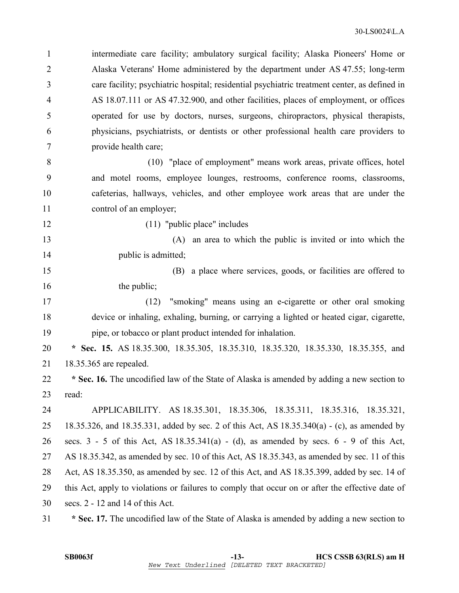1 intermediate care facility; ambulatory surgical facility; Alaska Pioneers' Home or 2 Alaska Veterans' Home administered by the department under AS 47.55; long-term 3 care facility; psychiatric hospital; residential psychiatric treatment center, as defined in 4 AS 18.07.111 or AS 47.32.900, and other facilities, places of employment, or offices 5 operated for use by doctors, nurses, surgeons, chiropractors, physical therapists, 6 physicians, psychiatrists, or dentists or other professional health care providers to 7 provide health care;

8 (10) "place of employment" means work areas, private offices, hotel 9 and motel rooms, employee lounges, restrooms, conference rooms, classrooms, 10 cafeterias, hallways, vehicles, and other employee work areas that are under the 11 control of an employer;

12 (11) "public place" includes

13 (A) an area to which the public is invited or into which the 14 public is admitted;

15 (B) a place where services, goods, or facilities are offered to 16 the public;

17 (12) "smoking" means using an e-cigarette or other oral smoking 18 device or inhaling, exhaling, burning, or carrying a lighted or heated cigar, cigarette, 19 pipe, or tobacco or plant product intended for inhalation.

20 **\* Sec. 15.** AS 18.35.300, 18.35.305, 18.35.310, 18.35.320, 18.35.330, 18.35.355, and 21 18.35.365 are repealed.

22 **\* Sec. 16.** The uncodified law of the State of Alaska is amended by adding a new section to 23 read:

24 APPLICABILITY. AS 18.35.301, 18.35.306, 18.35.311, 18.35.316, 18.35.321, 25 18.35.326, and 18.35.331, added by sec. 2 of this Act, AS 18.35.340(a) - (c), as amended by 26 secs. 3 - 5 of this Act, AS 18.35.341(a) - (d), as amended by secs. 6 - 9 of this Act, 27 AS 18.35.342, as amended by sec. 10 of this Act, AS 18.35.343, as amended by sec. 11 of this 28 Act, AS 18.35.350, as amended by sec. 12 of this Act, and AS 18.35.399, added by sec. 14 of 29 this Act, apply to violations or failures to comply that occur on or after the effective date of 30 secs. 2 - 12 and 14 of this Act.

31 **\* Sec. 17.** The uncodified law of the State of Alaska is amended by adding a new section to